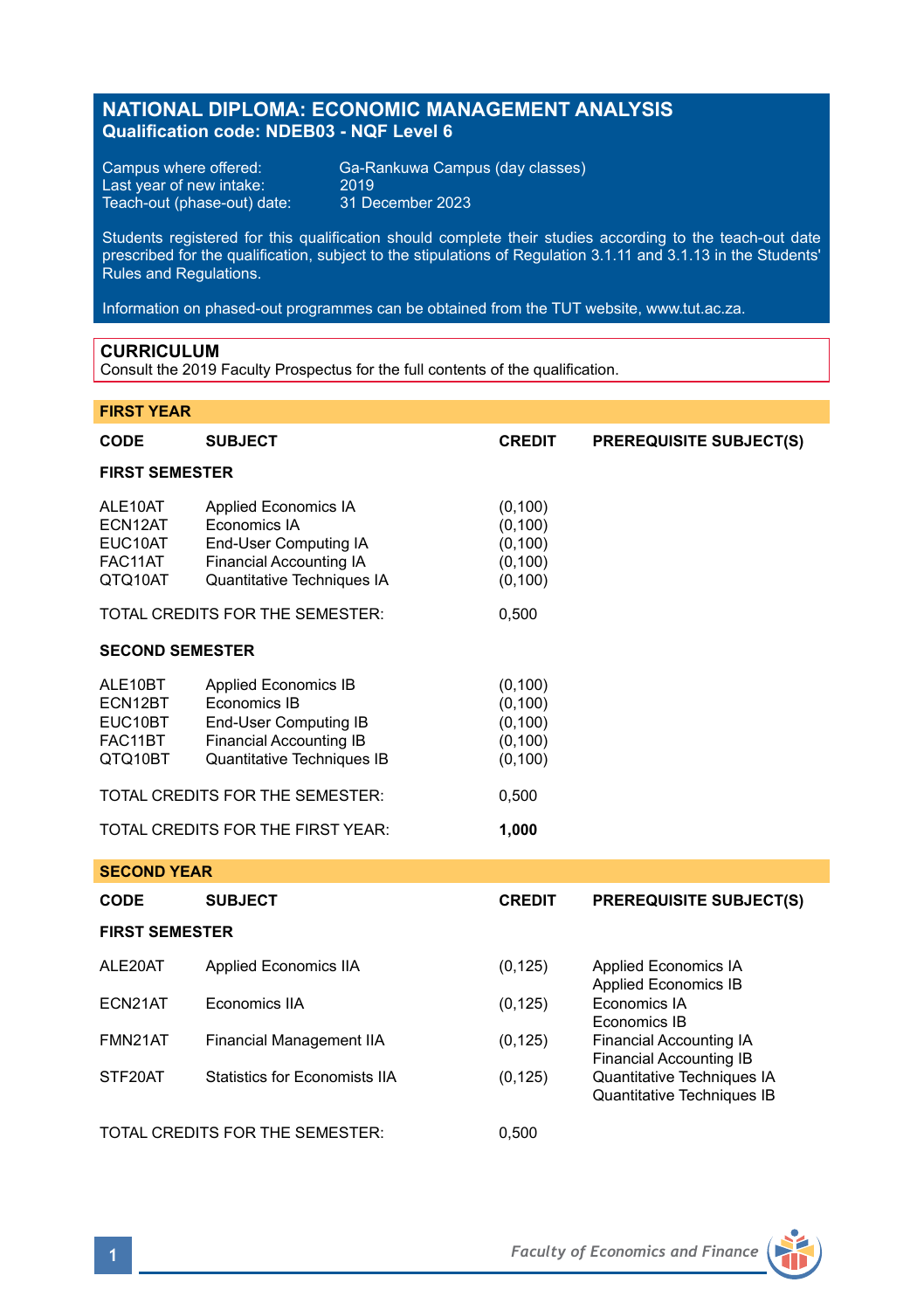# **NATIONAL DIPLOMA: ECONOMIC MANAGEMENT ANALYSIS Qualification code: NDEB03 - NQF Level 6**

Last year of new intake: 2019 Teach-out (phase-out) date: 31 December 2023

Campus where offered: Ga-Rankuwa Campus (day classes)

Students registered for this qualification should complete their studies according to the teach-out date prescribed for the qualification, subject to the stipulations of Regulation 3.1.11 and 3.1.13 in the Students' Rules and Regulations.

Information on phased-out programmes can be obtained from the TUT website, www.tut.ac.za.

### **CURRICULUM**

Consult the 2019 Faculty Prospectus for the full contents of the qualification.

### **FIRST YEAR**

| <b>CODE</b>                                         | <b>SUBJECT</b>                                                                                                                       | <b>CREDIT</b>                                            | <b>PREREQUISITE SUBJECT(S)</b>                                   |  |  |
|-----------------------------------------------------|--------------------------------------------------------------------------------------------------------------------------------------|----------------------------------------------------------|------------------------------------------------------------------|--|--|
| <b>FIRST SEMESTER</b>                               |                                                                                                                                      |                                                          |                                                                  |  |  |
| ALE10AT<br>ECN12AT<br>EUC10AT<br>FAC11AT<br>QTQ10AT | Applied Economics IA<br>Economics IA<br>End-User Computing IA<br>Financial Accounting IA<br>Quantitative Techniques IA               | (0, 100)<br>(0, 100)<br>(0, 100)<br>(0, 100)<br>(0, 100) |                                                                  |  |  |
|                                                     | TOTAL CREDITS FOR THE SEMESTER:                                                                                                      | 0,500                                                    |                                                                  |  |  |
| <b>SECOND SEMESTER</b>                              |                                                                                                                                      |                                                          |                                                                  |  |  |
| ALE10BT<br>ECN12BT<br>EUC10BT<br>FAC11BT<br>QTQ10BT | <b>Applied Economics IB</b><br>Economics IB<br>End-User Computing IB<br><b>Financial Accounting IB</b><br>Quantitative Techniques IB | (0, 100)<br>(0, 100)<br>(0, 100)<br>(0, 100)<br>(0, 100) |                                                                  |  |  |
| TOTAL CREDITS FOR THE SEMESTER:                     |                                                                                                                                      | 0,500                                                    |                                                                  |  |  |
| TOTAL CREDITS FOR THE FIRST YEAR:                   |                                                                                                                                      | 1,000                                                    |                                                                  |  |  |
| <b>SECOND YEAR</b>                                  |                                                                                                                                      |                                                          |                                                                  |  |  |
| <b>CODE</b>                                         | <b>SUBJECT</b>                                                                                                                       | <b>CREDIT</b>                                            | <b>PREREQUISITE SUBJECT(S)</b>                                   |  |  |
| <b>FIRST SEMESTER</b>                               |                                                                                                                                      |                                                          |                                                                  |  |  |
| ALE20AT                                             | Applied Economics IIA                                                                                                                | (0, 125)                                                 | <b>Applied Economics IA</b><br><b>Applied Economics IB</b>       |  |  |
| ECN21AT                                             | Economics IIA                                                                                                                        | (0, 125)                                                 | Economics IA<br>Economics IB                                     |  |  |
| FMN21AT                                             | Financial Management IIA                                                                                                             | (0, 125)                                                 | <b>Financial Accounting IA</b><br><b>Financial Accounting IB</b> |  |  |
| STF20AT                                             | <b>Statistics for Economists IIA</b>                                                                                                 | (0, 125)                                                 | Quantitative Techniques IA<br>Quantitative Techniques IB         |  |  |
| TOTAL CREDITS FOR THE SEMESTER:                     |                                                                                                                                      | 0,500                                                    |                                                                  |  |  |

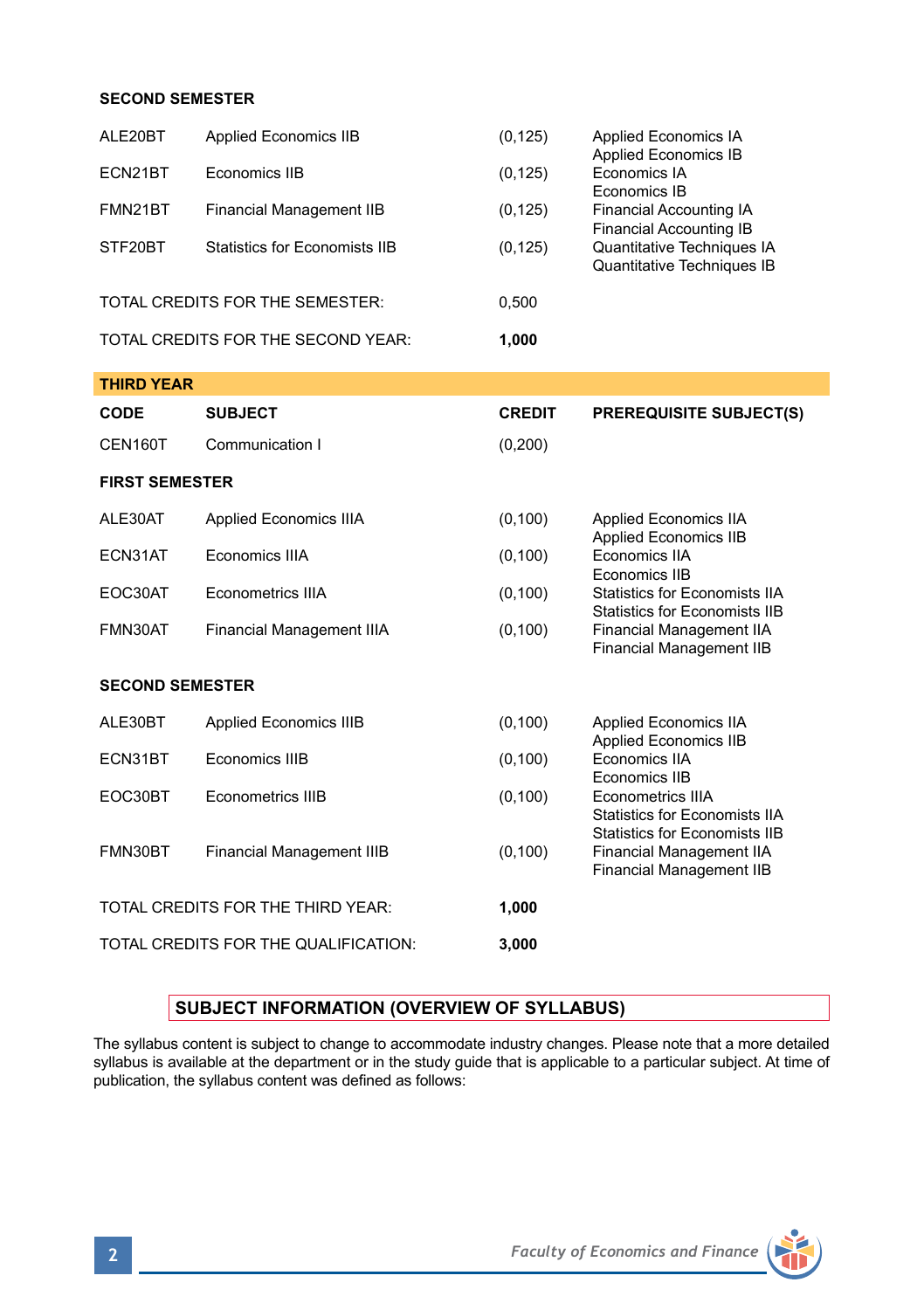### **SECOND SEMESTER**

| ALE20BT                              | <b>Applied Economics IIB</b>         | (0, 125)      | <b>Applied Economics IA</b><br><b>Applied Economics IB</b><br>Economics IA<br>Economics IB<br><b>Financial Accounting IA</b><br><b>Financial Accounting IB</b><br>Quantitative Techniques IA<br>Quantitative Techniques IB                                  |  |  |  |
|--------------------------------------|--------------------------------------|---------------|-------------------------------------------------------------------------------------------------------------------------------------------------------------------------------------------------------------------------------------------------------------|--|--|--|
| ECN21BT                              | Economics IIB                        | (0, 125)      |                                                                                                                                                                                                                                                             |  |  |  |
| FMN21BT                              | <b>Financial Management IIB</b>      | (0, 125)      |                                                                                                                                                                                                                                                             |  |  |  |
| STF20BT                              | <b>Statistics for Economists IIB</b> | (0, 125)      |                                                                                                                                                                                                                                                             |  |  |  |
|                                      | TOTAL CREDITS FOR THE SEMESTER:      | 0,500         |                                                                                                                                                                                                                                                             |  |  |  |
|                                      | TOTAL CREDITS FOR THE SECOND YEAR:   | 1,000         |                                                                                                                                                                                                                                                             |  |  |  |
| <b>THIRD YEAR</b>                    |                                      |               |                                                                                                                                                                                                                                                             |  |  |  |
| CODE                                 | <b>SUBJECT</b>                       | <b>CREDIT</b> | <b>PREREQUISITE SUBJECT(S)</b>                                                                                                                                                                                                                              |  |  |  |
| CEN160T                              | Communication I                      | (0, 200)      |                                                                                                                                                                                                                                                             |  |  |  |
| <b>FIRST SEMESTER</b>                |                                      |               |                                                                                                                                                                                                                                                             |  |  |  |
| ALE30AT                              | Applied Economics IIIA               | (0, 100)      | <b>Applied Economics IIA</b><br><b>Applied Economics IIB</b><br>Economics IIA<br>Economics IIB<br>Statistics for Economists IIA<br><b>Statistics for Economists IIB</b><br>Financial Management IIA<br><b>Financial Management IIB</b>                      |  |  |  |
| ECN31AT                              | Economics IIIA                       | (0, 100)      |                                                                                                                                                                                                                                                             |  |  |  |
| EOC30AT                              | Econometrics IIIA                    | (0, 100)      |                                                                                                                                                                                                                                                             |  |  |  |
| FMN30AT                              | Financial Management IIIA            | (0, 100)      |                                                                                                                                                                                                                                                             |  |  |  |
| <b>SECOND SEMESTER</b>               |                                      |               |                                                                                                                                                                                                                                                             |  |  |  |
| ALE30BT                              | <b>Applied Economics IIIB</b>        | (0, 100)      | <b>Applied Economics IIA</b><br><b>Applied Economics IIB</b><br>Economics IIA<br>Economics IIB<br>Econometrics IIIA<br><b>Statistics for Economists IIA</b><br>Statistics for Economists IIB<br>Financial Management IIA<br><b>Financial Management IIB</b> |  |  |  |
| ECN31BT                              | Economics IIIB                       | (0, 100)      |                                                                                                                                                                                                                                                             |  |  |  |
| EOC30BT                              | Econometrics IIIB                    | (0, 100)      |                                                                                                                                                                                                                                                             |  |  |  |
| FMN30BT                              | <b>Financial Management IIIB</b>     | (0, 100)      |                                                                                                                                                                                                                                                             |  |  |  |
| TOTAL CREDITS FOR THE THIRD YEAR:    |                                      | 1,000         |                                                                                                                                                                                                                                                             |  |  |  |
| TOTAL CREDITS FOR THE QUALIFICATION: |                                      | 3,000         |                                                                                                                                                                                                                                                             |  |  |  |

# **SUBJECT INFORMATION (OVERVIEW OF SYLLABUS)**

The syllabus content is subject to change to accommodate industry changes. Please note that a more detailed syllabus is available at the department or in the study guide that is applicable to a particular subject. At time of publication, the syllabus content was defined as follows:

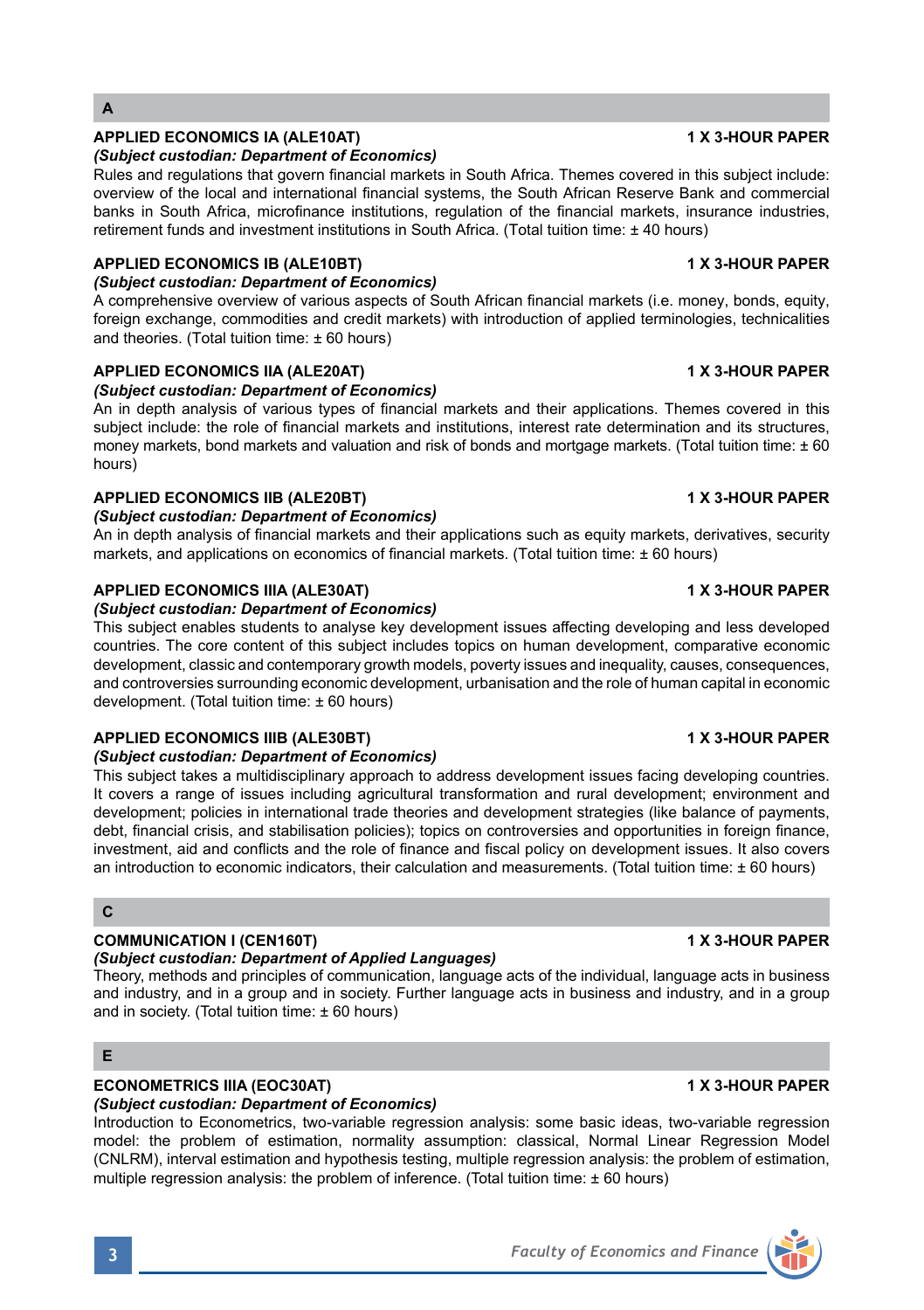# **A**

### **APPLIED ECONOMICS IA (ALE10AT) 1 X 3-HOUR PAPER**

### *(Subject custodian: Department of Economics)*

Rules and regulations that govern financial markets in South Africa. Themes covered in this subject include: overview of the local and international financial systems, the South African Reserve Bank and commercial banks in South Africa, microfinance institutions, regulation of the financial markets, insurance industries, retirement funds and investment institutions in South Africa. (Total tuition time: ± 40 hours)

### **APPLIED ECONOMICS IB (ALE10BT) 1 X 3-HOUR PAPER**

### *(Subject custodian: Department of Economics)*

A comprehensive overview of various aspects of South African financial markets (i.e. money, bonds, equity, foreign exchange, commodities and credit markets) with introduction of applied terminologies, technicalities and theories. (Total tuition time: ± 60 hours)

# **APPLIED ECONOMICS IIA (ALE20AT) 1 X 3-HOUR PAPER**

### *(Subject custodian: Department of Economics)*

An in depth analysis of various types of financial markets and their applications. Themes covered in this subject include: the role of financial markets and institutions, interest rate determination and its structures, money markets, bond markets and valuation and risk of bonds and mortgage markets. (Total tuition time:  $\pm 60$ hours)

### **APPLIED ECONOMICS IIB (ALE20BT) 1 X 3-HOUR PAPER**

### *(Subject custodian: Department of Economics)*

An in depth analysis of financial markets and their applications such as equity markets, derivatives, security markets, and applications on economics of financial markets. (Total tuition time: ± 60 hours)

### **APPLIED ECONOMICS IIIA (ALE30AT) 1 X 3-HOUR PAPER**

### *(Subject custodian: Department of Economics)*

This subject enables students to analyse key development issues affecting developing and less developed countries. The core content of this subject includes topics on human development, comparative economic development, classic and contemporary growth models, poverty issues and inequality, causes, consequences, and controversies surrounding economic development, urbanisation and the role of human capital in economic development. (Total tuition time: ± 60 hours)

### **APPLIED ECONOMICS IIIB (ALE30BT) 1 X 3-HOUR PAPER**

### *(Subject custodian: Department of Economics)*

This subject takes a multidisciplinary approach to address development issues facing developing countries. It covers a range of issues including agricultural transformation and rural development; environment and development; policies in international trade theories and development strategies (like balance of payments, debt, financial crisis, and stabilisation policies); topics on controversies and opportunities in foreign finance, investment, aid and conflicts and the role of finance and fiscal policy on development issues. It also covers an introduction to economic indicators, their calculation and measurements. (Total tuition time:  $\pm 60$  hours)

# **C**

### **COMMUNICATION I (CEN160T) 1 X 3-HOUR PAPER**

### *(Subject custodian: Department of Applied Languages)*

Theory, methods and principles of communication, language acts of the individual, language acts in business and industry, and in a group and in society. Further language acts in business and industry, and in a group and in society. (Total tuition time:  $\pm 60$  hours)

# **E**

### **ECONOMETRICS IIIA (EOC30AT) 1 X 3-HOUR PAPER**

### *(Subject custodian: Department of Economics)*

Introduction to Econometrics, two-variable regression analysis: some basic ideas, two-variable regression model: the problem of estimation, normality assumption: classical, Normal Linear Regression Model (CNLRM), interval estimation and hypothesis testing, multiple regression analysis: the problem of estimation, multiple regression analysis: the problem of inference. (Total tuition time: ± 60 hours)

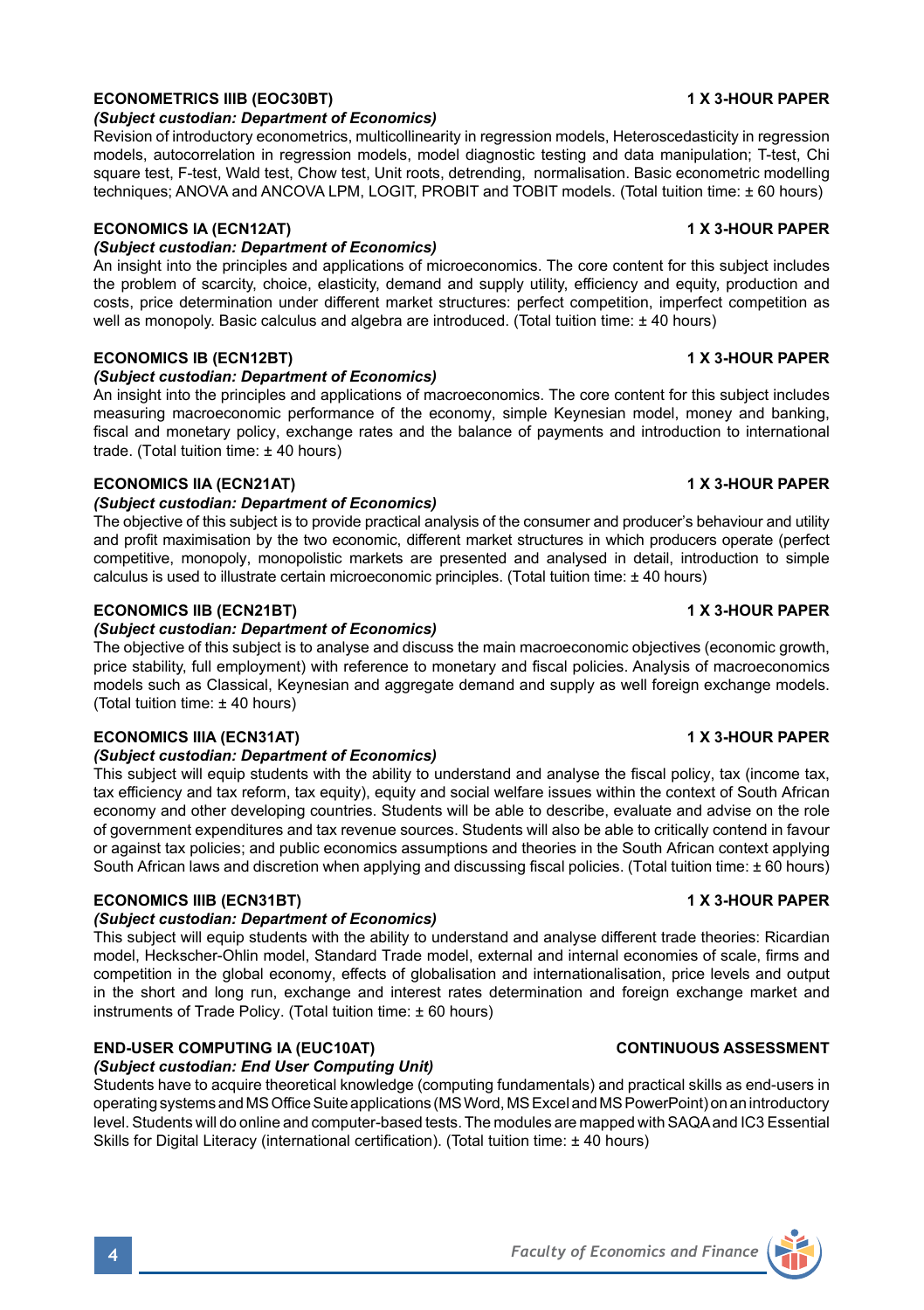### **ECONOMICS IIIA (ECN31AT) 1 X 3-HOUR PAPER**

# *(Subject custodian: Department of Economics)*

This subject will equip students with the ability to understand and analyse the fiscal policy, tax (income tax, tax efficiency and tax reform, tax equity), equity and social welfare issues within the context of South African economy and other developing countries. Students will be able to describe, evaluate and advise on the role of government expenditures and tax revenue sources. Students will also be able to critically contend in favour or against tax policies; and public economics assumptions and theories in the South African context applying South African laws and discretion when applying and discussing fiscal policies. (Total tuition time: ± 60 hours)

# **ECONOMICS IIIB (ECN31BT) 1 X 3-HOUR PAPER**

### *(Subject custodian: Department of Economics)*

This subject will equip students with the ability to understand and analyse different trade theories: Ricardian model, Heckscher-Ohlin model, Standard Trade model, external and internal economies of scale, firms and competition in the global economy, effects of globalisation and internationalisation, price levels and output in the short and long run, exchange and interest rates determination and foreign exchange market and instruments of Trade Policy. (Total tuition time: ± 60 hours)

# **END-USER COMPUTING IA (EUC10AT) CONTINUOUS ASSESSMENT**

# *(Subject custodian: End User Computing Unit)*

Students have to acquire theoretical knowledge (computing fundamentals) and practical skills as end-users in operating systems and MS Office Suite applications (MS Word, MS Excel and MS PowerPoint) on an introductory level. Students will do online and computer-based tests. The modules are mapped with SAQA and IC3 Essential Skills for Digital Literacy (international certification). (Total tuition time: ± 40 hours)

# **ECONOMETRICS IIIB (EOC30BT) 1 X 3-HOUR PAPER**

### *(Subject custodian: Department of Economics)*

Revision of introductory econometrics, multicollinearity in regression models, Heteroscedasticity in regression models, autocorrelation in regression models, model diagnostic testing and data manipulation; T-test, Chi square test, F-test, Wald test, Chow test, Unit roots, detrending, normalisation. Basic econometric modelling techniques; ANOVA and ANCOVA LPM, LOGIT, PROBIT and TOBIT models. (Total tuition time: ± 60 hours)

# **ECONOMICS IA (ECN12AT) 1 X 3-HOUR PAPER**

# *(Subject custodian: Department of Economics)*

An insight into the principles and applications of microeconomics. The core content for this subject includes the problem of scarcity, choice, elasticity, demand and supply utility, efficiency and equity, production and costs, price determination under different market structures: perfect competition, imperfect competition as well as monopoly. Basic calculus and algebra are introduced. (Total tuition time:  $\pm 40$  hours)

### **ECONOMICS IB (ECN12BT) 1 X 3-HOUR PAPER**

### *(Subject custodian: Department of Economics)*

An insight into the principles and applications of macroeconomics. The core content for this subject includes measuring macroeconomic performance of the economy, simple Keynesian model, money and banking, fiscal and monetary policy, exchange rates and the balance of payments and introduction to international trade. (Total tuition time: ± 40 hours)

### **ECONOMICS IIA (ECN21AT) 1 X 3-HOUR PAPER**

### *(Subject custodian: Department of Economics)*

The objective of this subject is to provide practical analysis of the consumer and producer's behaviour and utility and profit maximisation by the two economic, different market structures in which producers operate (perfect competitive, monopoly, monopolistic markets are presented and analysed in detail, introduction to simple calculus is used to illustrate certain microeconomic principles. (Total tuition time: ± 40 hours)

### **ECONOMICS IIB (ECN21BT) 1 X 3-HOUR PAPER**

### *(Subject custodian: Department of Economics)*

The objective of this subject is to analyse and discuss the main macroeconomic objectives (economic growth, price stability, full employment) with reference to monetary and fiscal policies. Analysis of macroeconomics models such as Classical, Keynesian and aggregate demand and supply as well foreign exchange models. (Total tuition time: ± 40 hours)

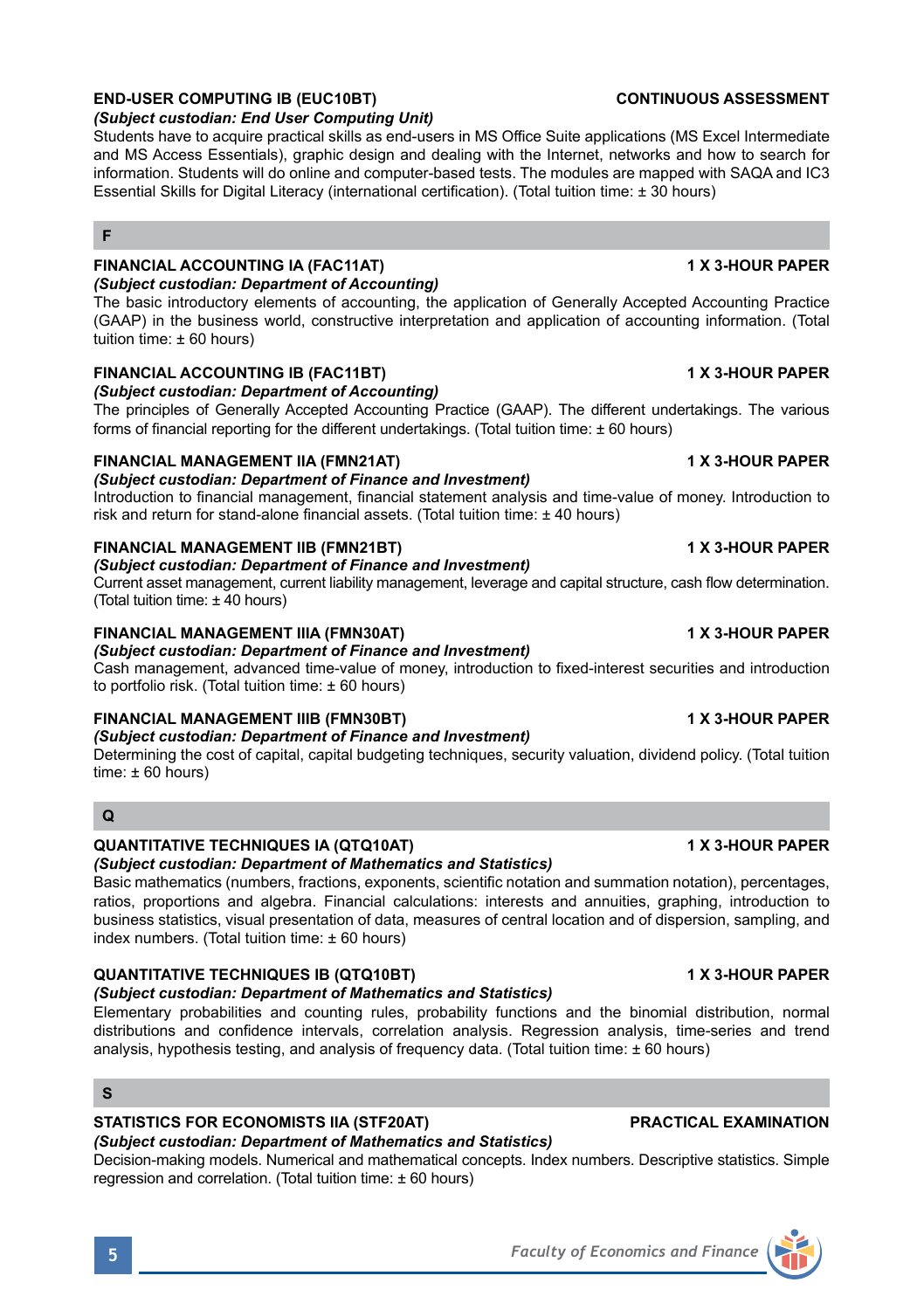# **END-USER COMPUTING IB (EUC10BT) CONTINUOUS ASSESSMENT**

### *(Subject custodian: End User Computing Unit)*

Students have to acquire practical skills as end-users in MS Office Suite applications (MS Excel Intermediate and MS Access Essentials), graphic design and dealing with the Internet, networks and how to search for information. Students will do online and computer-based tests. The modules are mapped with SAQA and IC3 Essential Skills for Digital Literacy (international certification). (Total tuition time: ± 30 hours)

### **F**

### **FINANCIAL ACCOUNTING IA (FAC11AT) 1 X 3-HOUR PAPER**

### *(Subject custodian: Department of Accounting)*

The basic introductory elements of accounting, the application of Generally Accepted Accounting Practice (GAAP) in the business world, constructive interpretation and application of accounting information. (Total tuition time: ± 60 hours)

### **FINANCIAL ACCOUNTING IB (FAC11BT) 1 X 3-HOUR PAPER**

### *(Subject custodian: Department of Accounting)*

The principles of Generally Accepted Accounting Practice (GAAP). The different undertakings. The various forms of financial reporting for the different undertakings. (Total tuition time: ± 60 hours)

### **FINANCIAL MANAGEMENT IIA (FMN21AT) 1 X 3-HOUR PAPER**

### *(Subject custodian: Department of Finance and Investment)*

Introduction to financial management, financial statement analysis and time-value of money. Introduction to risk and return for stand-alone financial assets. (Total tuition time: ± 40 hours)

### **FINANCIAL MANAGEMENT IIB (FMN21BT) 1 X 3-HOUR PAPER**

# *(Subject custodian: Department of Finance and Investment)*

Current asset management, current liability management, leverage and capital structure, cash flow determination. (Total tuition time: ± 40 hours)

### **FINANCIAL MANAGEMENT IIIA (FMN30AT) 1 X 3-HOUR PAPER**

### *(Subject custodian: Department of Finance and Investment)*

Cash management, advanced time-value of money, introduction to fixed-interest securities and introduction to portfolio risk. (Total tuition time: ± 60 hours)

### **FINANCIAL MANAGEMENT IIIB (FMN30BT) 1 X 3-HOUR PAPER**

### *(Subject custodian: Department of Finance and Investment)*

Determining the cost of capital, capital budgeting techniques, security valuation, dividend policy. (Total tuition time: ± 60 hours)

### **Q**

### **QUANTITATIVE TECHNIQUES IA (QTQ10AT) 1 X 3-HOUR PAPER**

*(Subject custodian: Department of Mathematics and Statistics)*

Basic mathematics (numbers, fractions, exponents, scientific notation and summation notation), percentages, ratios, proportions and algebra. Financial calculations: interests and annuities, graphing, introduction to business statistics, visual presentation of data, measures of central location and of dispersion, sampling, and index numbers. (Total tuition time:  $\pm 60$  hours)

### **QUANTITATIVE TECHNIQUES IB (QTQ10BT) 1 X 3-HOUR PAPER**

### *(Subject custodian: Department of Mathematics and Statistics)*

Elementary probabilities and counting rules, probability functions and the binomial distribution, normal distributions and confidence intervals, correlation analysis. Regression analysis, time-series and trend analysis, hypothesis testing, and analysis of frequency data. (Total tuition time:  $\pm 60$  hours)

### **S**

# **STATISTICS FOR ECONOMISTS IIA (STF20AT) PRACTICAL EXAMINATION**

# *(Subject custodian: Department of Mathematics and Statistics)*

Decision-making models. Numerical and mathematical concepts. Index numbers. Descriptive statistics. Simple regression and correlation. (Total tuition time: ± 60 hours)